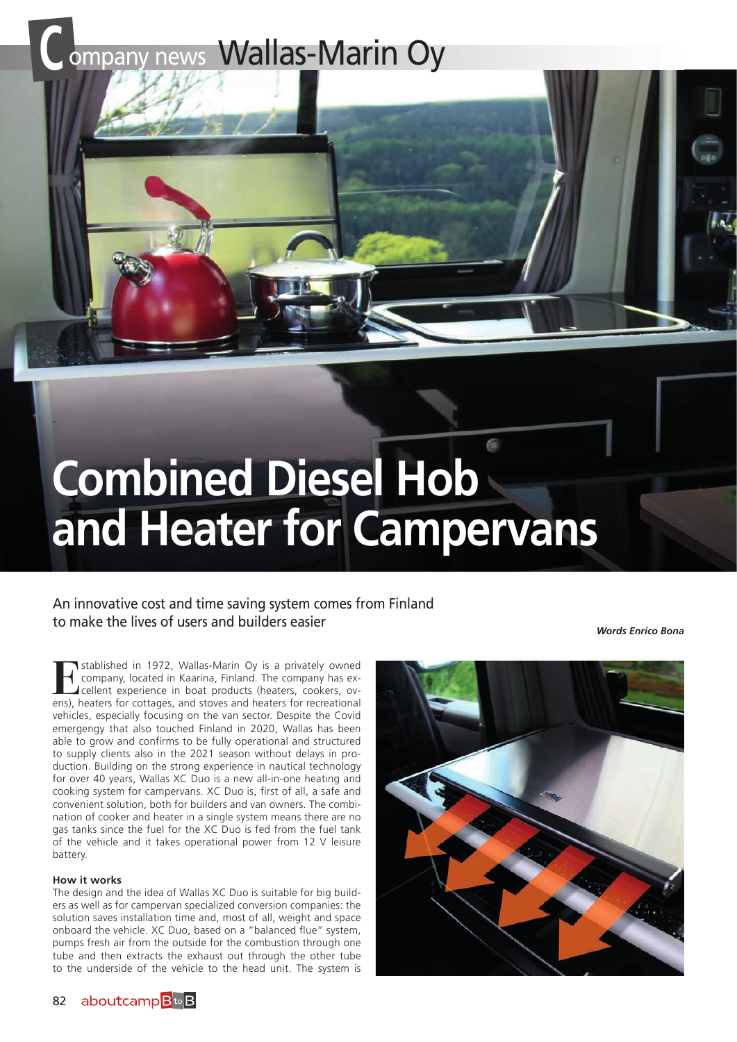# **COMPANY NEWS Wallas-Marin Oy**



## An innovative cost and time saving system comes from Finland to make the lives of users and builders easier

*Words Enrico Bona*

**Examplished in 1972, Wallas-Marin Oy is a privately owned<br>
company, located in Kaarina, Finland. The company has ex-<br>
cellent experience in boat products (heaters, cookers, ov-<br>
ans) heaters for cottages and stoves and he** company, located in Kaarina, Finland. The company has excellent experience in boat products (heaters, cookers, ovens), heaters for cottages, and stoves and heaters for recreational vehicles, especially focusing on the van sector. Despite the Covid emergengy that also touched Finland in 2020, Wallas has been able to grow and confirms to be fully operational and structured to supply clients also in the 2021 season without delays in production. Building on the strong experience in nautical technology for over 40 years, Wallas XC Duo is a new all-in-one heating and cooking system for campervans. XC Duo is, first of all, a safe and convenient solution, both for builders and van owners. The combination of cooker and heater in a single system means there are no gas tanks since the fuel for the XC Duo is fed from the fuel tank of the vehicle and it takes operational power from 12 V leisure battery.

### **How it works**

The design and the idea of Wallas XC Duo is suitable for big builders as well as for campervan specialized conversion companies: the solution saves installation time and, most of all, weight and space onboard the vehicle. XC Duo, based on a "balanced flue" system, pumps fresh air from the outside for the combustion through one tube and then extracts the exhaust out through the other tube to the underside of the vehicle to the head unit. The system is